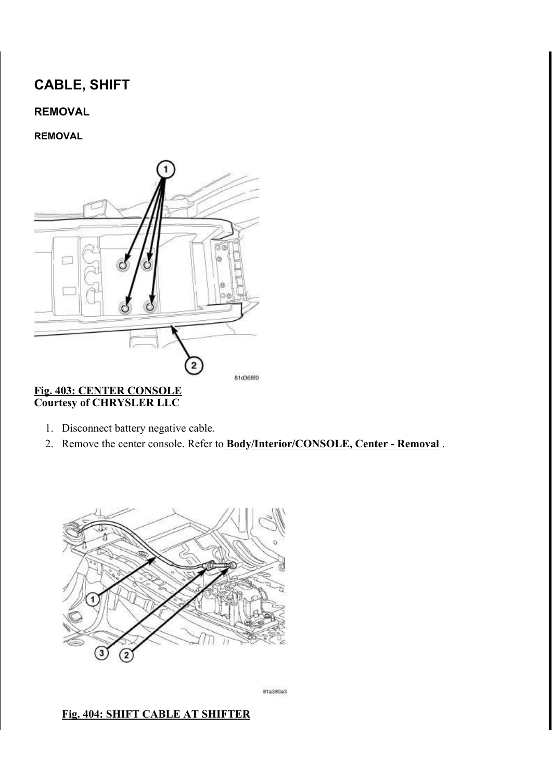# CABLE, SHIFT

# REMOVAL

### REMOVAL



#### Fig. 403: CENTER CONSOLE Courtesy of CHRYSLER LLC

- 1. Disconnect battery negative cable.
- 2. Remove the center console. Refer to **Body/Interior/CONSOLE, Center Removal**.



81a380a3

#### Fig. 404: SHIFT CABLE AT SHIFTER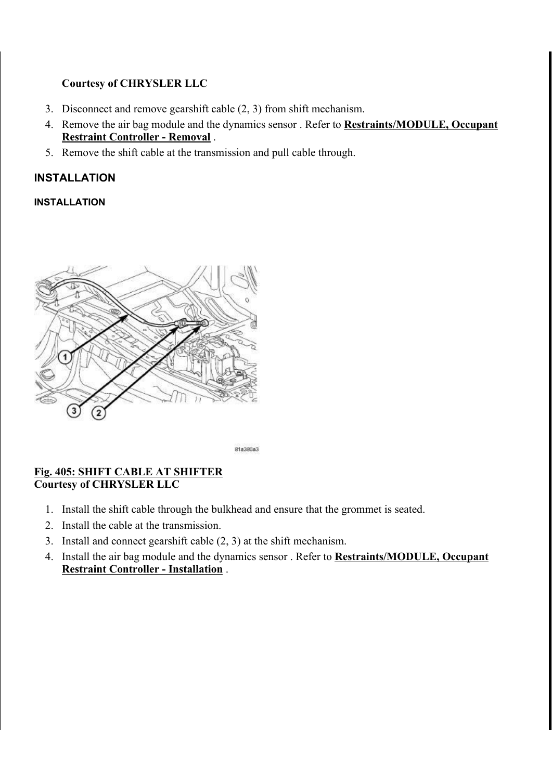## Courtesy of CHRYSLER LLC

- 3. Disconnect and remove gearshift cable (2, 3) from shift mechanism.
- 4. Remove the air bag module and the dynamics sensor . Refer to **Restraints/MODULE, Occupant** Restraint Controller - Removal .
- 5. Remove the shift cable at the transmission and pull cable through.

# INSTALLATION

## INSTALLATION



81a380a3

### Fig. 405: SHIFT CABLE AT SHIFTER Courtesy of CHRYSLER LLC

- 1. Install the shift cable through the bulkhead and ensure that the grommet is seated.
- 2. Install the cable at the transmission.
- 3. Install and connect gearshift cable (2, 3) at the shift mechanism.
- 4. Install the air bag module and the dynamics sensor . Refer to **Restraints/MODULE, Occupant** Restraint Controller - Installation .